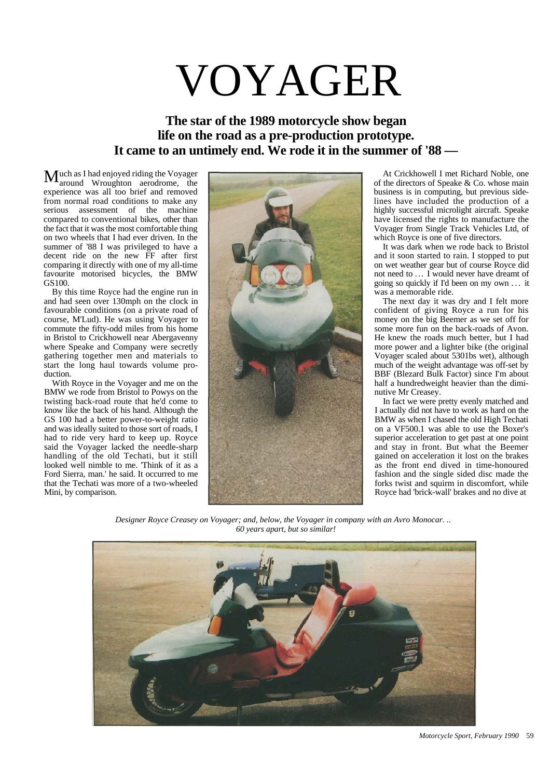## VOYAGER

## **The star of the 1989 motorcycle show began life on the road as a pre-production prototype. It came to an untimely end. We rode it in the summer of '88 —**

uch as I had enjoyed riding the Voyager  $M<sub>around</sub>$  Wroughton aerodrome, the experience was all too brief and removed from normal road conditions to make any serious assessment of the machine compared to conventional bikes, other than the fact that it was the most comfortable thing on two wheels that I had ever driven. In the summer of '88 I was privileged to have a decent ride on the new FF after first comparing it directly with one of my all-time favourite motorised bicycles, the BMW GS100.

By this time Royce had the engine run in and had seen over 130mph on the clock in favourable conditions (on a private road of course, M'Lud). He was using Voyager to commute the fifty-odd miles from his home in Bristol to Crickhowell near Abergavenny where Speake and Company were secretly gathering together men and materials to start the long haul towards volume production.

With Royce in the Voyager and me on the BMW we rode from Bristol to Powys on the twisting back-road route that he'd come to know like the back of his hand. Although the GS 100 had a better power-to-weight ratio and was ideally suited to those sort of roads, I had to ride very hard to keep up. Royce said the Voyager lacked the needle-sharp handling of the old Techati, but it still looked well nimble to me. 'Think of it as a Ford Sierra, man.' he said. It occurred to me that the Techati was more of a two-wheeled Mini, by comparison.



At Crickhowell I met Richard Noble, one of the directors of Speake & Co. whose main business is in computing, but previous sidelines have included the production of a highly successful microlight aircraft. Speake have licensed the rights to manufacture the Voyager from Single Track Vehicles Ltd, of which Royce is one of five directors.

It was dark when we rode back to Bristol and it soon started to rain. I stopped to put on wet weather gear but of course Royce did not need to ... I would never have dreamt of going so quickly if I'd been on my own . . . it was a memorable ride.

The next day it was dry and I felt more confident of giving Royce a run for his money on the big Beemer as we set off for some more fun on the back-roads of Avon. He knew the roads much better, but I had more power and a lighter bike (the original Voyager scaled about 5301bs wet), although much of the weight advantage was off-set by BBF (Blezard Bulk Factor) since I'm about half a hundredweight heavier than the diminutive Mr Creasey.

In fact we were pretty evenly matched and I actually did not have to work as hard on the BMW as when I chased the old High Techati on a VF500.1 was able to use the Boxer's superior acceleration to get past at one point and stay in front. But what the Beemer gained on acceleration it lost on the brakes as the front end dived in time-honoured fashion and the single sided disc made the forks twist and squirm in discomfort, while Royce had 'brick-wall' brakes and no dive at

*Designer Royce Creasey on Voyager; and, below, the Voyager in company with an Avro Monocar. .. 60 years apart, but so similar!*



*Motorcycle Sport, February 1990* 59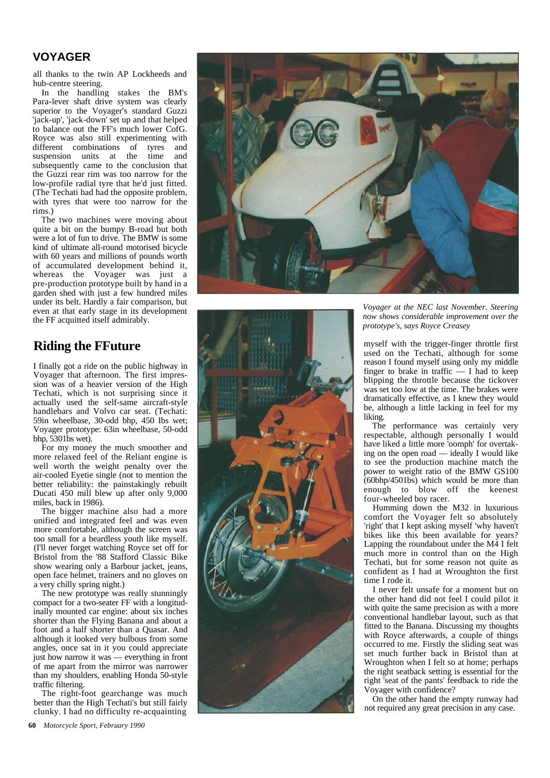## **VOYAGER**

all thanks to the twin AP Lockheeds and hub-centre ste ering.

In the handling stakes the BM's Para-lever shaft drive system was clearly superior to the Voyager's standard Guzzi 'ja c k-u p ', 'jack-down' set up and that helped t o b a l ance out the FF's much lower CofG. Roy ce w as also still exp erimenting with different combinations of tyres and suspension units at the time and subsequently came to the conclusion that the Guzzi rear rim was too narrow for the low-profile radial tyre that he'd just fitted. (The Techati had had the opposite problem, with tyres that were too narrow for the rim s.)

The two machines were moving about quite a bit on t he bu m p y B-road but both were a lot of fun to drive. The BMW is some kind of ultimate all-round motorised bicycle with 60 years and millions of pounds worth of accum ulated development beh ind it, whereas the Voy ager was j ust a pre-production prototype built by hand in a garde n shed with j ust a few hundre d m i l es under its belt. Hardly a fair compari s o n, but even at that early stage in its development the FF acquitted itself admirably.

## **Riding the FFuture**

I finally got a ride on the public highway in Voy ager that a fternoon. The first impression was of a heavier version of the High Techati, which is not surprising since it actu ally used the self-sa me aircraft-sty l e handlebars and Volvo car seat. (Techati: 59in wheelbase, 30-odd bhp, 450 Ibs wet; V oyag er p rototyp e : 63in wheelbase , 50-odd bhp, 5301bs wet) .

For my money the much smoother and m ore relaxed feel of the Reliant engine is well worth the weight penalty over the air-co oled Eyeti e single (not t o m ention the better reliabilit y : the p ainstakingly reb uilt Ducati 450 m i l l blew up after only 9,000 miles, back in 1986).

The bigger machine also had a more unified and integrated feel and was even more comfortable, although the screen was too small for a beardless youth like myself. (I'll never for get watching Royce s et off for Bri stol fro m the '88 Staffor d Classic Bi k e sho w wearing o nly a Barbo ur jacket, jeans, open face hel met, trainers and no gloves on a v ery chilly spr ing night.)

The new prototype was really stunningly compact for a two-seater FF with a longitudinally mounted car engine: about six inches shorter than the Fly ing Banana and about a foot and a half shorter than a Quasar. And although it looked very bulbous fro m some angle s, once sat in it you could appreciat e j u s t how narrow i t was — everything i n front of m e apart from the m irror was narrower than my shoulders, enabling Honda 50-style traffic filtering.

The right-foot gearchange was much better than the High Techati's but still fairly clunky. I had no difficulty re-acquainting





*Voyager at the NEC last November. Steering now shows considerable improvement over the prototype's , s ays Roy c e Creas e y*

m yself with the trigger-finger throttle fir st used on the Techat i , although for som e reaso n I fou n d mysel f usi n g only my middle finger to brak e in traffic — I had t o keep blipp ing the throttle because the tickover was set too low at the time. The brakes were dramatically effective, as I knew they would be, although a little lacking in feel for my liking.

The performance was certainly very respectabl e, although p ersonall y I would hav e liked a little m ore 'oo mph' for overtaking on the open road — ideally I would like to see the production machi ne m atch the power to weight ratio of the BMW GS100 (60bhp/4501bs) which would b e m ore than enough to blow off t he keenest f o u r - wheeled boy racer.

Humming down the M32 in luxurious co m fort the V o y ager felt so absolutely 'right' that I kept asking myself 'why haven't bikes like thi s been available for years? Lapping the roundabout under t he M4 I fel t much more in control than on the High Techati, but for so m e reason not quite as confident as I had at Wroughton the first ti m e I rode it .

I never fel t unsafe for a m o m ent but on the other hand did not feel I could pilot it with quite the same precision as with a more convent ional h andle bar l a yout, such a s that fitted to the Banana. Discussing my thoughts with Royce afterwards, a couple of things occurred to m e . Firstly the sliding seat was set m uch furth er back in Bri stol than at W roughton when I felt so at h o m e; perhaps the right seatback setting is essenti al for the right 'seat of the pants' feedbac k to ride the Voy ager with confidenc e ?

On the other hand the e mpty runway had not required any great precision in any case.